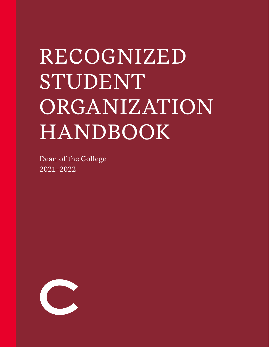# RECOGNIZED STUDENT ORGANIZATION HANDBOOK

Dean of the College 2021–2022

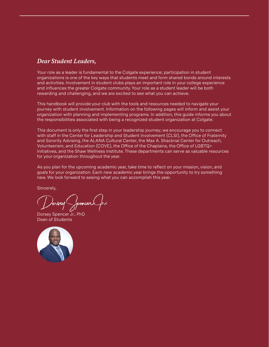#### *Dear Student Leaders,*

Your role as a leader is fundamental to the Colgate experience; participation in student organizations is one of the key ways that students meet and form shared bonds around interests and activities. Involvement in student clubs plays an important role in your college experience and influences the greater Colgate community. Your role as a student leader will be both rewarding and challenging, and we are excited to see what you can achieve.

This handbook will provide your club with the tools and resources needed to navigate your journey with student involvement. Information on the following pages will inform and assist your organization with planning and implementing programs. In addition, this guide informs you about the responsibilities associated with being a recognized student organization at Colgate.

This document is only the first step in your leadership journey; we encourage you to connect with staff in the Center for Leadership and Student Involvement (CLSI), the Office of Fraternity and Sorority Advising, the ALANA Cultural Center, the Max A. Shacknai Center for Outreach, Volunteerism, and Education (COVE), the Office of the Chaplains, the Office of LGBTQ+ Initiatives, and the Shaw Wellness Institute. These departments can serve as valuable resources for your organization throughout the year.

As you plan for the upcoming academic year, take time to reflect on your mission, vision, and goals for your organization. Each new academic year brings the opportunity to try something new. We look forward to seeing what you can accomplish this year.

Sincerely,

Donsey Spencere

Dorsey Spencer Jr., PhD Dean of Students

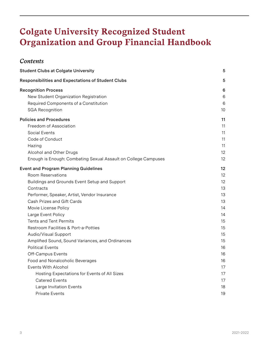# **Colgate University Recognized Student Organization and Group Financial Handbook**

#### *Contents*

| <b>Student Clubs at Colgate University</b>                                                                   | 5           |
|--------------------------------------------------------------------------------------------------------------|-------------|
| Responsibilities and Expectations of Student Clubs                                                           | 5           |
| <b>Recognition Process</b><br>New Student Organization Registration<br>Required Components of a Constitution | 6<br>6<br>6 |
| <b>SGA Recognition</b>                                                                                       | 10          |
| <b>Policies and Procedures</b>                                                                               | 11          |
| Freedom of Association                                                                                       | 11          |
| Social Events                                                                                                | 11          |
| Code of Conduct                                                                                              | 11          |
| Hazing                                                                                                       | 11          |
| Alcohol and Other Drugs                                                                                      | 12          |
| Enough is Enough: Combating Sexual Assault on College Campuses                                               | 12          |
| <b>Event and Program Planning Guidelines</b>                                                                 | 12          |
| <b>Room Reservations</b>                                                                                     | 12          |
| Buildings and Grounds Event Setup and Support                                                                | 12          |
| Contracts                                                                                                    | 13          |
| Performer, Speaker, Artist, Vendor Insurance                                                                 | 13          |
| Cash Prizes and Gift Cards                                                                                   | 13          |
| Movie License Policy                                                                                         | 14          |
| Large Event Policy                                                                                           | 14          |
| <b>Tents and Tent Permits</b>                                                                                | 15          |
| Restroom Facilities & Port-a-Potties                                                                         | 15          |
| Audio/Visual Support                                                                                         | 15          |
| Amplified Sound, Sound Variances, and Ordinances                                                             | 15          |
| <b>Political Events</b>                                                                                      | 16          |
| Off-Campus Events                                                                                            | 16          |
| Food and Nonalcoholic Beverages                                                                              | 16          |
| <b>Events With Alcohol</b>                                                                                   | 17          |
| Hosting Expectations for Events of All Sizes                                                                 | 17          |
| <b>Catered Events</b>                                                                                        | 17          |
| Large Invitation Events                                                                                      | 18          |
| Private Events                                                                                               | 19          |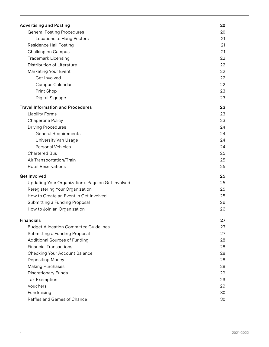| <b>Advertising and Posting</b>                    | 20 |
|---------------------------------------------------|----|
| <b>General Posting Procedures</b>                 | 20 |
| Locations to Hang Posters                         | 21 |
| <b>Residence Hall Posting</b>                     | 21 |
| Chalking on Campus                                | 21 |
| <b>Trademark Licensing</b>                        | 22 |
| Distribution of Literature                        | 22 |
| Marketing Your Event                              | 22 |
| Get Involved                                      | 22 |
| Campus Calendar                                   | 22 |
| Print Shop                                        | 23 |
| Digital Signage                                   | 23 |
| <b>Travel Information and Procedures</b>          | 23 |
| <b>Liability Forms</b>                            | 23 |
| Chaperone Policy                                  | 23 |
| <b>Driving Procedures</b>                         | 24 |
| <b>General Requirements</b>                       | 24 |
| University Van Usage                              | 24 |
| <b>Personal Vehicles</b>                          | 24 |
| <b>Chartered Bus</b>                              | 25 |
| Air Transportation/Train                          | 25 |
| <b>Hotel Reservations</b>                         | 25 |
| <b>Get Involved</b>                               | 25 |
| Updating Your Organization's Page on Get Involved | 25 |
| Reregistering Your Organization                   | 25 |
| How to Create an Event in Get Involved            | 25 |
| Submitting a Funding Proposal                     | 26 |
| How to Join an Organization                       | 26 |
| <b>Financials</b>                                 | 27 |
| <b>Budget Allocation Committee Guidelines</b>     | 27 |
| Submitting a Funding Proposal                     | 27 |
| <b>Additional Sources of Funding</b>              | 28 |
| <b>Financial Transactions</b>                     | 28 |
| <b>Checking Your Account Balance</b>              | 28 |
| Depositing Money                                  | 28 |
| <b>Making Purchases</b>                           | 28 |
| <b>Discretionary Funds</b>                        | 29 |
| <b>Tax Exemption</b>                              | 29 |
| Vouchers                                          | 29 |
| Fundraising                                       | 30 |
| Raffles and Games of Chance                       | 30 |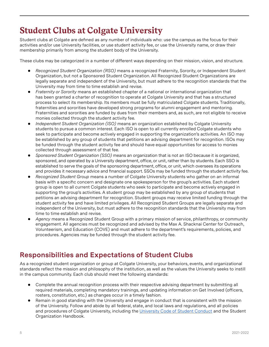# <span id="page-4-0"></span>**Student Clubs at Colgate University**

Student clubs at Colgate are defined as any number of individuals who: use the campus as the focus for their activities and/or use University facilities, or use student activity fee, or use the University name, or draw their membership primarily from among the student body of the University.

These clubs may be categorized in a number of different ways depending on their mission, vision, and structure.

- *Recognized Student Organization (RSO)* means a recognized Fraternity, Sorority, or Independent Student Organization, but not a Sponsored Student Organization. All Recognized Student Organizations are legally separate and independent of the University, but must adhere to the recognition standards that the University may from time to time establish and revise.
- Fraternity or Sorority means an established chapter of a national or international organization that has been granted a charter of recognition to operate at Colgate University and that has a structured process to select its membership. Its members must be fully matriculated Colgate students. Traditionally, fraternities and sororities have developed strong programs for alumni engagement and mentoring. Fraternities and sororities are funded by dues from their members and, as such, are not eligible to receive monies collected through the student activity fee.
- *Independent Student Organization (ISO)* means an organization established by Colgate University students to pursue a common interest. Each ISO is open to all currently enrolled Colgate students who seek to participate and become actively engaged in supporting the organization's activities. An ISO may be established by any group of students that petitions an advising department for recognition. ISOs may be funded through the student activity fee and should have equal opportunities for access to monies collected through assessment of that fee.
- ● *Sponsored Student Organization (SSO)* means an organization that is not an ISO because it is organized, sponsored, and operated by a University department, office, or unit, rather than by students. Each SSO is established to serve the goals of the sponsoring department, office, or unit, which oversees its operations and provides it necessary advice and financial support. SSOs may be funded through the student activity fee.
- Recognized Student Group means a number of Colgate University students who gather on an informal basis with a specific concern and designate one spokesperson for the group's activities. Each student group is open to all current Colgate students who seek to participate and become actively engaged in supporting the group's activities. A student group may be established by any group of students that petitions an advising department for recognition. Student groups may receive limited funding through the student activity fee and have limited privileges. All Recognized Student Groups are legally separate and independent of the University, but must adhere to the recognition standards that the University may from time to time establish and revise.
- Agency means a Recognized Student Group with a primary mission of service, philanthropy, or community engagement. All agencies must be recognized and advised by the Max A. Shacknai Center for Outreach, Volunteerism, and Education (COVE) and must adhere to the department's requirements, policies, and procedures. Agencies may be funded through the student activity fee.

# <span id="page-4-1"></span>**Responsibilities and Expectations of Student Clubs**

As a recognized student organization or group at Colgate University, your behaviors, events, and organizational standards reflect the mission and philosophy of the institution, as well as the values the University seeks to instill in the campus community. Each club should meet the following standards:

- Complete the annual recognition process with their respective advising department by submitting all required materials, completing mandatory trainings, and updating information on Get Involved (officers, rosters, constitution, etc.) as changes occur in a timely fashion.
- Remain in good standing with the University and engage in conduct that is consistent with the mission of the University. Follow and abide by all federal, state, and local laws and regulations, and all policies and procedures of Colgate University, including the [University Code of Student Conduct](https://www.colgate.edu/about/offices-centers-institutes/dean-college/student-rights-and-responsibilities/code-student) and the Student Organization Handbook.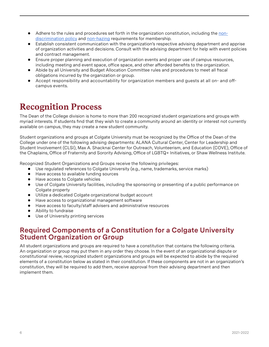- Adhere to the rules and procedures set forth in the organization constitution, including the [non](https://www.colgate.edu/current-students/colgate-university-student-handbook-2019-2020/student-rights-and-3)[discrimination policy](https://www.colgate.edu/current-students/colgate-university-student-handbook-2019-2020/student-rights-and-3) and [non-hazing](https://www.colgate.edu/current-students/colgate-university-student-handbook/student-policies/conduct#hazing) requirements for membership.
- ● Establish consistent communication with the organization's respective advising department and apprise of organization activities and decisions. Consult with the advising department for help with event policies and contract management.
- Ensure proper planning and execution of organization events and proper use of campus resources, including meeting and event space, office space, and other afforded benefits to the organization.
- Abide by all University and Budget Allocation Committee rules and procedures to meet all fiscal obligations incurred by the organization or group.
- ● Accept responsibility and accountability for organization members and guests at all on- and offcampus events.

# <span id="page-5-0"></span>**Recognition Process**

The Dean of the College division is home to more than 200 recognized student organizations and groups with myriad interests. If students find that they wish to create a community around an identity or interest not currently available on campus, they may create a new student community.

Student organizations and groups at Colgate University must be recognized by the Office of the Dean of the College under one of the following advising departments: ALANA Cultural Center, Center for Leadership and Student Involvement (CLSI), Max A. Shacknai Center for Outreach, Volunteerism, and Education (COVE), Office of the Chaplains, Office of Fraternity and Sorority Advising, Office of LGBTQ+ Initiatives, or Shaw Wellness Institute.

Recognized Student Organizations and Groups receive the following privileges:

- Use regulated references to Colgate University (e.g., name, trademarks, service marks)
- Have access to available funding sources
- Have access to Colgate vehicles
- Use of Colgate University facilities, including the sponsoring or presenting of a public performance on Colgate property
- ● Utilize a dedicated Colgate organizational budget account
- Have access to organizational management software
- Have access to faculty/staff advisers and administrative resources
- Ability to fundraise
- Use of University printing services

#### **Required Components of a Constitution for a Colgate University Student Organization or Group**

All student organizations and groups are required to have a constitution that contains the following criteria. An organization or group may put them in any order they choose. In the event of an organizational dispute or constitutional review, recognized student organizations and groups will be expected to abide by the required elements of a constitution below as stated in their constitution. If these components are not in an organization's constitution, they will be required to add them, receive approval from their advising department and then implement them.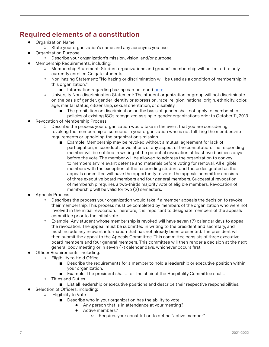## **Required elements of a constitution**

- ● Organization Name
	- State your organization's name and any acronyms you use.
	- Organization Purpose
		- ○ Describe your organization's mission, vision, and/or purpose.
- Membership Requirements, including:
	- Membership Statement: Student organizations and groups' membership will be limited to only currently enrolled Colgate students
	- ○ Non-hazing Statement: "No hazing or discrimination will be used as a condition of membership in this organization."
		- Information regarding hazing can be found [here](https://www.colgate.edu/student-life/health-safety-wellness/hazing-support).
	- ○ University Non-discrimination Statement: The student organization or group will not discriminate on the basis of gender, gender identity or expression, race, religion, national origin, ethnicity, color, age, marital status, citizenship, sexual orientation, or disability.
		- The prohibition on discrimination on the basis of gender shall not apply to membership
		- policies of existing ISOs recognized as single-gender organizations prior to October 11, 2013.
- **Revocation of Membership Process** 
	- Describe the process your organization would take in the event that you are considering revoking the membership of someone in your organization who is not fulfilling the membership requirements or upholding the organization's mission.
		- Example: Membership may be revoked without a mutual agreement for lack of participation, misconduct, or violations of any aspect of the constitution. The responding member will be notified in writing of the potential revocation at least five business days before the vote. The member will be allowed to address the organization to convey to members any relevant defense and materials before voting for removal. All eligible members with the exception of the responding student and those designated as the appeals committee will have the opportunity to vote. The appeals committee consists of three executive board members and four general members. Successful revocation of membership requires a two-thirds majority vote of eligible members. Revocation of membership will be valid for two (2) semesters.
- Appeals Process
	- Describes the process your organization would take if a member appeals the decision to revoke their membership. This process must be completed by members of the organization who were not involved in the initial revocation. Therefore, it is important to designate members of the appeals committee prior to the initial vote.
	- Example: Any student whose membership is revoked will have seven (7) calendar days to appeal the revocation. The appeal must be submitted in writing to the president and secretary, and must include any relevant information that has not already been presented. The president will then submit the appeal to the Appeals Committee. This committee consists of three executive board members and four general members. This committee will then render a decision at the next general body meeting or in seven (7) calendar days, whichever occurs first.
- Officer Requirements, including:
	- ○ Eligibility to Hold Office
		- Describe the requirements for a member to hold a leadership or executive position within your organization.
		- Example: The president shall... or The chair of the Hospitality Committee shall...
		- ○ Titles and Duties
			- List all leadership or executive positions and describe their respective responsibilities.
- Selection of Officers, including:
	- ○ Eligibility to Vote
		- Describe who in your organization has the ability to vote.
			- Any person that is in attendance at your meeting?
			- ● Active members?
				- ○ Requires your constitution to define "active member"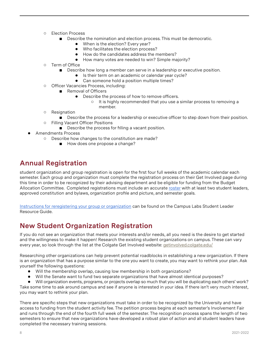- ○ Election Process
	- Describe the nomination and election process. This must be democratic.
		- When is the election? Every year?
		- ● Who facilitates the election process?
		- How do the candidates address the members?
		- How many votes are needed to win? Simple majority?
- ○ Term of Office
	- Describe how long a member can serve in a leadership or executive position.
		- ● Is their term on an academic or calendar year cycle?
		- Can someone hold a position multiple times?
- ○ Officer Vacancies Process, including:
	- Removal of Officers
		- Describe the process of how to remove officers.
			- ○ It is highly recommended that you use a similar process to removing a member.
- ○ Resignation
- Describe the process for a leadership or executive officer to step down from their position. ○ Filling Vacant Officer Positions
	- Describe the process for filling a vacant position.
- Amendments Process
	- ○ Describe how changes to the constitution are made?
		- How does one propose a change?

#### **Annual Registration**

student organization and group registration is open for the first four full weeks of the academic calendar each semester. Each group and organization must complete the registration process on their Get Involved page during this time in order to be recognized by their advising department and be eligible for funding from the Budget Allocation Committee. Completed registrations must include an accurate [roster](https://engagesupport.campuslabs.com/hc/en-us/articles/115001617606-Roster-Walkthrough) with at least two student leaders, approved constitution and bylaws, organization profile and picture, and semester goals.

[Instructions for reregistering your group or organization](https://engagesupport.campuslabs.com/hc/en-us/articles/204942554) can be found on the Campus Labs Student Leader Resource Guide.

#### **New Student Organization Registration**

If you do not see an organization that meets your interests and/or needs, all you need is the desire to get started and the willingness to make it happen! Research the existing student organizations on campus. These can vary every year, so look through the list at the Colgate Get Involved website[:](http://www.getinvolved.colgate.edu/) [getinvolved.colgate.edu/](http://www.getinvolved.colgate.edu/)

Researching other organizations can help prevent potential roadblocks in establishing a new organization. If there is an organization that has a purpose similar to the one you want to create, you may want to rethink your plan. Ask yourself the following questions:

- Will the membership overlap, causing low membership in both organizations?
- Will the Senate want to fund two separate organizations that have almost identical purposes?

● Will organization events, programs, or projects overlap so much that you will be duplicating each others' work? Take some time to ask around campus and see if anyone is interested in your idea. If there isn't very much interest, you may want to rethink your plan.

There are specific steps that new organizations must take in order to be recognized by the University and have access to funding from the student activity fee. The petition process begins at each semester's Involvement Fair and runs through the end of the fourth full week of the semester. The recognition process spans the length of two semesters to ensure that new organizations have developed a robust plan of action and all student leaders have completed the necessary training sessions.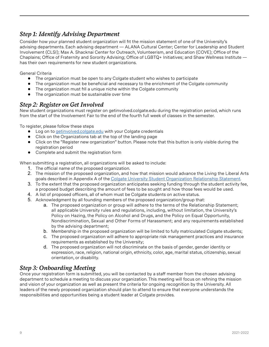#### *Step 1: Identify Advising Department*

Consider how your planned student organization will fit the mission statement of one of the University's advising departments. Each advising department — ALANA Cultural Center; Center for Leadership and Student Involvement (CLSI); Max A. Shacknai Center for Outreach, Volunteerism, and Education (COVE); Office of the Chaplains; Office of Fraternity and Sorority Advising; Office of LGBTQ+ Initiatives; and Shaw Wellness Institute has their own requirements for new student organizations.

General Criteria

- The organization must be open to any Colgate student who wishes to participate
- The organization must be beneficial and necessary to the enrichment of the Colgate community
- The organization must fill a unique niche within the Colgate community
- ● The organization must be sustainable over time

#### *Step 2: Register on Get Involved*

New student organizations must register on getinvolved.colgate.edu during the registration period, which runs from the start of the Involvement Fair to the end of the fourth full week of classes in the semester.

To register, please follow these steps

- Log on to [getinvolved.colgate.edu](http://www.getinvolved.colgate.edu/) with your Colgate credentials
- Click on the Organizations tab at the top of the landing page
- ● Click on the "Register new organization" button. Please note that this button is only visible during the registration period
- Complete and submit the registration form

When submitting a registration, all organizations will be asked to include:

- 1. The official name of the proposed organization.
- 2. The mission of the proposed organization, and how that mission would advance the Living the Liberal Arts goals described in Appendix A of the [Colgate University Student Organization Relationship Statement](https://www.colgate.edu/media/9406/download).
- 3. To the extent that the proposed organization anticipates seeking funding through the student activity fee, a proposed budget describing the amount of fees to be sought and how those fees would be used.
- 4. A list of proposed officers, all of whom must be Colgate students on active status.
- 5. Acknowledgment by all founding members of the proposed organization/group that:
	- a. The proposed organization or group will adhere to the terms of the Relationship Statement; all applicable University rules and regulations, including, without limitation, the University's Policy on Hazing, the Policy on Alcohol and Drugs, and the Policy on Equal Opportunity, Nondiscrimination, Sexual and Other Forms of Harassment; and any requirements established by the advising department;
	- **b.** Membership in the proposed organization will be limited to fully matriculated Colgate students;
	- c. The proposed organization will adhere to appropriate risk management practices and insurance requirements as established by the University;
	- d. The proposed organization will not discriminate on the basis of gender, gender identity or expression, race, religion, national origin, ethnicity, color, age, marital status, citizenship, sexual orientation, or disability.

#### *Step 3: Onboarding Meeting*

Once your registration form is submitted, you will be contacted by a staff member from the chosen advising department to schedule a meeting to discuss your organization. This meeting will focus on refining the mission and vision of your organization as well as present the criteria for ongoing recognition by the University. All leaders of the newly proposed organization should plan to attend to ensure that everyone understands the responsibilities and opportunities being a student leader at Colgate provides.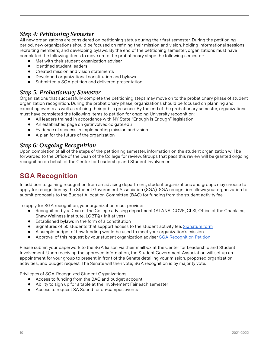#### *Step 4: Petitioning Semester*

All new organizations are considered on petitioning status during their first semester. During the petitioning period, new organizations should be focused on refining their mission and vision, holding informational sessions, recruiting members, and developing bylaws. By the end of the petitioning semester, organizations must have completed the following items to move on to the probationary stage the following semester:

- Met with their student organization adviser
- ● Identified student leaders
- Created mission and vision statements
- Developed organizational constitution and bylaws
- Submitted a SGA petition and delivered presentation

#### *Step 5: Probationary Semester*

Organizations that successfully complete the petitioning steps may move on to the probationary phase of student organization recognition. During the probationary phase, organizations should be focused on planning and executing events as well as refining their public presence. By the end of the probationary semester, organizations must have completed the following items to petition for ongoing University recognition:

- All leaders trained in accordance with NY State "Enough is Enough" legislation
- An established page on getinvolved.colgate.edu
- Evidence of success in implementing mission and vision
- ● A plan for the future of the organization

#### *Step 6: Ongoing Recognition*

Upon completion of all of the steps of the petitioning semester, information on the student organization will be forwarded to the Office of the Dean of the College for review. Groups that pass this review will be granted ongoing recognition on behalf of the Center for Leadership and Student Involvement.

#### **SGA Recognition**

In addition to gaining recognition from an advising department, student organizations and groups may choose to apply for recognition by the Student Government Association (SGA). SGA recognition allows your organization to submit proposals to the Budget Allocation Committee (BAC) for funding from the student activity fee.

To apply for SGA recognition, your organization must provide:

- Recognition by a Dean of the College advising department (ALANA, COVE, CLSI, Office of the Chaplains, Shaw Wellness Institute, LGBTQ+ Initiatives)
- Established bylaws in the form of a constitution
- Signatures of 50 students that support access to the student activity fee. [Signature form](https://www.colgate.edu/media/15956/download)
- A sample budget of how funding would be used to meet your organization's mission
- Approval of this request by your student organization adviser [SGA Recognition Petition](https://www.colgate.edu/media/11406/download)

Please submit your paperwork to the SGA liaison via their mailbox at the Center for Leadership and Student Involvement. Upon receiving the approved information, the Student Government Association will set up an appointment for your group to present in front of the Senate detailing your mission, proposed organization activities, and budget request. The Senate will then vote; SGA recognition is by majority vote.

Privileges of SGA-Recognized Student Organizations:

- ● Access to funding from the BAC and budget account
- Ability to sign up for a table at the Involvement Fair each semester
- Access to request SA Sound for on-campus events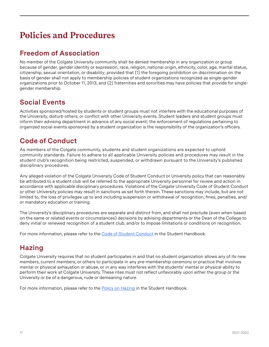# **Policies and Procedures**

## **Freedom of Association**

No member of the Colgate University community shall be denied membership in any organization or group because of gender, gender identity or expression, race, religion, national origin, ethnicity, color, age, marital status, citizenship, sexual orientation, or disability; provided that (1) the foregoing prohibition on discrimination on the basis of gender shall not apply to membership policies of student organizations recognized as single-gender organizations prior to October 11, 2013, and (2) fraternities and sororities may have policies that provide for singlegender membership.

# **Social Events**

Activities sponsored/hosted by students or student groups must not interfere with the educational purposes of the University, disturb others, or conflict with other University events. Student leaders and student groups must inform their advising department in advance of any social event; the enforcement of regulations pertaining to organized social events sponsored by a student organization is the responsibility of the organization's officers.

# **Code of Conduct**

As members of the Colgate community, students and student organizations are expected to uphold community standards. Failure to adhere to all applicable University policies and procedures may result in the student club's recognition being restricted, suspended, or withdrawn pursuant to the University's published disciplinary procedures.

Any alleged violation of the Colgate University Code of Student Conduct or University policy that can reasonably be attributed to a student club will be referred to the appropriate University personnel for review and action in accordance with applicable disciplinary procedures. Violations of the Colgate University Code of Student Conduct or other University policies may result in sanctions as set forth therein. These sanctions may include, but are not limited to, the loss of privileges up to and including suspension or withdrawal of recognition, fines, penalties, and/ or mandatory education or training.

The University's disciplinary procedures are separate and distinct from, and shall not preclude (even when based on the same or related events or circumstances) decisions by advising departments or the Dean of the College to deny initial or renewed recognition of a student club, and/or to impose limitations or conditions on recognition.

For more information, please refer to the [Code of Student Conduct](https://www.colgate.edu/about/offices-centers-institutes/dean-college/student-rights-and-responsibilities/code-student) in the Student Handbook.

## **Hazing**

Colgate University requires that no student participates in and that no student organization allows any of its new members, current members, or others to participate in any pre-membership ceremony or practice that involves mental or physical exhaustion or abuse, or in any way interferes with the students' mental or physical ability to perform their work at Colgate University. These rites must not reflect unfavorably upon either the group or the University or be of a dangerous, rude or demeaning nature.

For more information, please refer to the **Policy on Hazing** in the Student Handbook.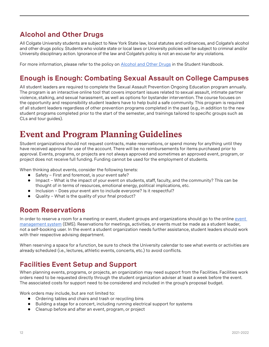# **Alcohol and Other Drugs**

All Colgate University students are subject to New York State law, local statutes and ordinances, and Colgate's alcohol and other drugs policy. Students who violate state or local laws or University policies will be subject to criminal and/or University disciplinary action. Ignorance of the law and Colgate's policy is not an excuse for any violations.

For more information, please refer to the policy on [Alcohol and Other Drugs](https://www.colgate.edu/current-students/colgate-university-student-handbook-2019-2020/student-policies/conduct#alcoholdrugs) in the Student Handbook.

## **Enough is Enough: Combating Sexual Assault on College Campuses**

All student leaders are required to complete the Sexual Assault Prevention Ongoing Education program annually. The program is an interactive online tool that covers important issues related to sexual assault, intimate partner violence, stalking, and sexual harassment, as well as options for bystander intervention. The course focuses on the opportunity and responsibility student leaders have to help build a safe community. This program is required of all student leaders regardless of other prevention programs completed in the past (e.g., in addition to the new student programs completed prior to the start of the semester, and trainings tailored to specific groups such as CLs and tour guides).

# **Event and Program Planning Guidelines**

Student organizations should not request contracts, make reservations, or spend money for anything until they have received approval for use of the account. There will be no reimbursements for items purchased prior to approval. Events, programs, or projects are not always approved and sometimes an approved event, program, or project does not receive full funding. Funding cannot be used for the employment of students.

When thinking about events, consider the following tenets:

- Safety First and foremost, is your event safe?
- Impact What is the impact of your event on students, staff, faculty, and the community? This can be thought of in terms of resources, emotional energy, political implications, etc.
- Inclusion Does your event aim to include everyone? Is it respectful?
- Quality What is the quality of your final product?

#### **Room Reservations**

In order to reserve a room for a meeting or event, student groups and organizations should go to the online event [management system](https://ems.colgate.edu/EmsWebApp/) (EMS). Reservations for meetings, activities, or events must be made as a student leader, not a self-booking user. In the event a student organization needs further assistance, student leaders should work with their respective advising department.

When reserving a space for a function, be sure to check the University calendar to see what events or activities are already scheduled (i.e., lectures, athletic events, concerts, etc.) to avoid conflicts.

#### **Facilities Event Setup and Support**

When planning events, programs, or projects, an organization may need support from the Facilities. Facilities work orders need to be requested directly through the student organization adviser at least a week before the event. The associated costs for support need to be considered and included in the group's proposal budget.

Work orders may include, but are not limited to:

- Ordering tables and chairs and trash or recycling bins
- ● Building a stage for a concert, including running electrical support for systems
- Cleanup before and after an event, program, or project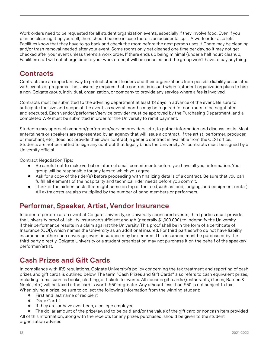Work orders need to be requested for all student organization events, especially if they involve food. Even if you plan on cleaning it up yourself, there should be one in case there is an accidental spill. A work order also lets Facilities know that they have to go back and check the room before the next person uses it. There may be cleaning and/or trash removal needed after your event. Some rooms only get cleaned one time per day, so it may not get checked after your event unless there's a work order. If there ends up being minimal (under a half hour) cleanup, Facilities staff will not charge time to your work order; it will be canceled and the group won't have to pay anything.

## **Contracts**

Contracts are an important way to protect student leaders and their organizations from possible liability associated with events or programs. The University requires that a contract is issued when a student organization plans to hire a non-Colgate group, individual, organization, or company to provide any service where a fee is involved.

Contracts must be submitted to the advising department at least 13 days in advance of the event. Be sure to anticipate the size and scope of the event, as several months may be required for contracts to be negotiated and executed. Each vendor/performer/service provider must be approved by the Purchasing Department, and a completed W-9 must be submitted in order for the University to remit payment.

Students may approach vendors/performers/service providers, etc., to gather information and discuss costs. Most entertainers or speakers are represented by an agency that will issue a contract. If the artist, performer, producer, or merchant, etc., does not provide their own contract, a generic contract is available from the CLSI office. Students are not permitted to sign any contract that legally binds the University. All contracts must be signed by a University official.

Contract Negotiation Tips:

- Be careful not to make verbal or informal email commitments before you have all your information. Your group will be responsible for any fees to which you agree.
- Ask for a copy of the rider(s) before proceeding with finalizing details of a contract. Be sure that you can fulfill all elements of the hospitality and technical rider needs before you commit.
- ● Think of the hidden costs that might come on top of the fee (such as food, lodging, and equipment rental). All extra costs are also multiplied by the number of band members or performers.

## **Performer, Speaker, Artist, Vendor Insurance**

In order to perform at an event at Colgate University, or University sponsored events, third parties must provide the University proof of liability insurance sufficient enough (generally \$1,000,000) to indemnify the University if their performance results in a claim against the University. This proof shall be in the form of a certificate of Insurance (COI), which names the University as an additional insured. For third parties who do not have liability insurance or other such coverage, event insurance may be secured. This insurance must be purchased by the third party directly. Colgate University or a student organization may not purchase it on the behalf of the speaker/ performer/artist.

# **Cash Prizes and Gift Cards**

In compliance with IRS regulations, Colgate University's policy concerning the tax treatment and reporting of cash prizes and gift cards is outlined below. The term "Cash Prizes and Gift Cards" also refers to cash equivalent prizes, including items such as books, clothing, or tickets to events. All specific gift cards (restaurants, iTunes, Barnes & Noble, etc.) will be taxed if the card is worth \$50 or greater. Any amount less than \$50 is not subject to tax. When giving a prize, be sure to collect the following information from the winning student:

- First and last name of recipient
- 'Gate Card #
- ● If they are, or have ever been, a college employee

The dollar amount of the prize/award to be paid and/or the value of the gift card or noncash item provided All of this information, along with the receipts for any prizes purchased, should be given to the student organization adviser.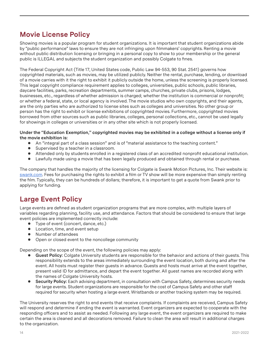## **Movie License Policy**

Showing movies is a popular program for student organizations. It is important that student organizations abide by "public performance" laws to ensure they are not infringing upon filmmakers' copyrights. Renting a movie without public distribution licensing or bringing in a personal copy to show to your membership or the general public is ILLEGAL and subjects the student organization and possibly Colgate to fines.

The Federal Copyright Act (Title 17, United States code, Public Law 94-553, 90 Stat. 2541) governs how copyrighted materials, such as movies, may be utilized publicly. Neither the rental, purchase, lending, or download of a movie carries with it the right to exhibit it publicly outside the home, unless the screening is properly licensed. This legal copyright compliance requirement applies to colleges, universities, public schools, public libraries, daycare facilities, parks, recreation departments, summer camps, churches, private clubs, prisons, lodges, businesses, etc., regardless of whether admission is charged; whether the institution is commercial or nonprofit; or whether a federal, state, or local agency is involved. The movie studios who own copyrights, and their agents, are the only parties who are authorized to license sites such as colleges and universities. No other group or person has the right to exhibit or license exhibitions of copyrighted movies. Furthermore, copyrighted movies borrowed from other sources such as public libraries, colleges, personal collections, etc., cannot be used legally for showings in colleges or universities or in any other site which is not properly licensed.

#### **Under the "Education Exemption," copyrighted movies may be exhibited in a college without a license only if the movie exhibition is:**

- ● An "integral part of a class session" and is of "material assistance to the teaching content."
- Supervised by a teacher in a classroom.
- Attended only by students enrolled in a registered class of an accredited nonprofit educational institution.
- ● Lawfully made using a movie that has been legally produced and obtained through rental or purchase.

The company that handles the majority of the licensing for Colgate is Swank Motion Pictures, Inc. Their website is: [swank.com](http://www.swank.com/). Fees for purchasing the rights to exhibit a film or TV show will be more expensive than simply renting the film. Typically, they can be hundreds of dollars; therefore, it is important to get a quote from Swank prior to applying for funding.

## **Large Event Policy**

Large events are defined as student organization programs that are more complex, with multiple layers of variables regarding planning, facility use, and attendance. Factors that should be considered to ensure that large event policies are implemented correctly include:

- Type of event (concert, dance, etc.)
- Location, time, and event setup
- Number of attendees
- Open or closed event to the noncollege community

Depending on the scope of the event, the following policies may apply:

- **Guest Policy:** Colgate University students are responsible for the behavior and actions of their guests. This responsibility extends to the areas immediately surrounding the event location, both during and after the event. All hosts must register their guests in advance. Guests and hosts must arrive at the event together, present valid ID for admittance, and depart the event together. All guest names are recorded along with the names of Colgate University hosts.
- Security Policy: Each advising department, in consultation with Campus Safety, determines security needs for large events. Student organizations are responsible for the cost of Campus Safety and other staff required for security when hosting a large event. Wristbands or another tracking system may be required.

The University reserves the right to end events that receive complaints. If complaints are received, Campus Safety will respond and determine if ending the event is warranted. Event organizers are expected to cooperate with the responding officers and to assist as needed. Following any large event, the event organizers are required to make certain the area is cleaned and all decorations removed. Failure to clean the area will result in additional charges to the organization.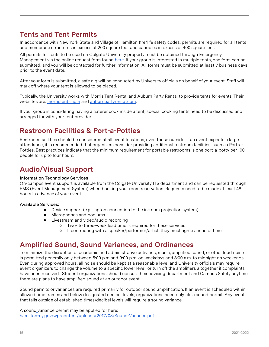#### **Tents and Tent Permits**

In accordance with New York State and Village of Hamilton fire/life safety codes, permits are required for all tents and membrane structures in excess of 200 square feet and canopies in excess of 400 square feet.

All permits for tents to be used on Colgate University property must be obtained through Emergency Management via the online request form found [here.](https://www.colgate.edu/about/campus-services-and-resources/tent-permit-requests) If your group is interested in multiple tents, one form can be submitted, and you will be contacted for further information. All forms must be submitted at least 7 business days prior to the event date.

After your form is submitted, a safe dig will be conducted by University officials on behalf of your event. Staff will mark off where your tent is allowed to be placed.

Typically, the University works with Morris Tent Rental and Auburn Party Rental to provide tents for events. Their websites are: [morristents.com](https://morristents.com) and [auburnpartyrental.com.](http://www.auburnpartyrental.com)

If your group is considering having a caterer cook inside a tent, special cooking tents need to be discussed and arranged for with your tent provider.

#### **Restroom Facilities & Port-a-Potties**

Restroom facilities should be considered at all event locations, even those outside. If an event expects a large attendance, it is recommended that organizers consider providing additional restroom facilities, such as Port-a-Potties. Best practices indicate that the minimum requirement for portable restrooms is one port-a-potty per 100 people for up to four hours.

# **Audio/Visual Support**

#### **Information Technology Services**

On-campus event support is available from the Colgate University ITS department and can be requested through EMS (Event Management System) when booking your room reservation. Requests need to be made at least 48 hours in advance of your event.

#### **Available Services:**

- Device support (e.g., laptop connection to the in-room projection system)
- Microphones and podiums
- ● Livestream and video/audio recording
	- ○ Two- to three-week lead time is required for these services
	- ○ If contracting with a speaker/performer/artist, they must agree ahead of time

#### **Amplified Sound, Sound Variances, and Ordinances**

To minimize the disruption of academic and administrative activities, music, amplified sound, or other loud noise is permitted generally only between 5:00 p.m and 9:00 p.m. on weekdays and 8:00 a.m. to midnight on weekends. Even during approved hours, all noise should be kept at a reasonable level and University officials may require event organizers to change the volume to a specific lower level, or turn off the amplifiers altogether if complaints have been received. Student organizations should consult their advising department and Campus Safety anytime there are plans to have amplified sound at an outdoor event.

Sound permits or variances are required primarily for outdoor sound amplification. If an event is scheduled within allowed time frames and below designated decibel levels, organizations need only file a sound permit. Any event that falls outside of established times/decibel levels will require a sound variance.

A sound variance permit may be applied for here: [hamilton-ny.gov/wp-content/uploads/2017/08/Sound-Variance.pdf](https://hamilton-ny.gov/wp-content/uploads/2017/08/Sound-Variance.pdf)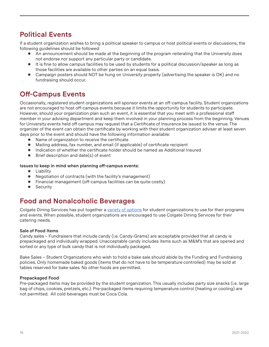#### **Political Events**

If a student organization wishes to bring a political speaker to campus or host political events or discussions, the following guidelines should be followed:

- An announcement should be made at the beginning of the program reiterating that the University does not endorse nor support any particular party or candidate.
- It is fine to allow campus facilities to be used by students for a political discussion/speaker as long as those facilities are available to other parties on an equal basis.
- Campaign posters should NOT be hung on University property (advertising the speaker is OK) and no fundraising should occur.

# **Off-Campus Events**

Occasionally, registered student organizations will sponsor events at an off-campus facility. Student organizations are not encouraged to host off-campus events because it limits the opportunity for students to participate. However, should your organization plan such an event, it is essential that you meet with a professional staff member in your advising department and keep them involved in your planning process from the beginning. Venues for University events held off campus may request that a Certificate of Insurance be issued to the venue. The organizer of the event can obtain the certificate by working with their student organization adviser at least seven days prior to the event and should have the following information available:

- Name of organization to receive the certificate
- ● Mailing address, fax number, and email (if applicable) of certificate recipient
- Indication of whether the certificate holder should be named as Additional Insured
- $\bullet$  Brief description and date(s) of event

#### **Issues to keep in mind when planning off-campus events:**

- ● Liability
- Negotiation of contracts (with the facility's management)
- Financial management (off-campus facilities can be quite costly)
- Security

#### **Food and Nonalcoholic Beverages**

Colgate Dining Services has put together a [variety of options](https://colgateuniversity.catertrax.com/menuGrid.asp?mode=p&cg=2&intCustomerID=) for student organizations to use for their programs and events. When possible, student organizations are encouraged to use Colgate Dining Services for their catering needs.

#### **Sale of Food Items**

Candy sales – Fundraisers that include candy (i.e. Candy-Grams) are acceptable provided that all candy is prepackaged and individually wrapped. Unacceptable candy includes items such as M&M's that are opened and sorted or any type of bulk candy that is not individually packaged.

Bake Sales – Student Organizations who wish to hold a bake sale should abide by the Funding and Fundraising policies. Only homemade baked goods (items that do not have to be temperature controlled) may be sold at tables reserved for bake sales. No other foods are permitted.

#### **Prepackaged Food**

Pre-packaged items may be provided by the student organization. This usually includes party size snacks (i.e. large bag of chips, cookies, pretzels, etc.). Pre-packaged items requiring temperature control (heating or cooling) are not permitted. All cold beverages must be Coca Cola.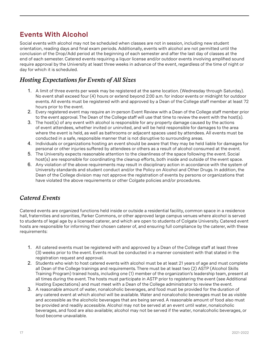## **Events With Alcohol**

Social events with alcohol may not be scheduled when classes are not in session, including new student orientation, reading days and final exam periods. Additionally, events with alcohol are not permitted until the conclusion of the Drop/Add period at the beginning of each semester and after the last day of classes at the end of each semester. Catered events requiring a liquor license and/or outdoor events involving amplified sound require approval by the University at least three weeks in advance of the event, regardless of the time of night or day for which it is scheduled.

#### *Hosting Expectations for Events of All Sizes*

- 1. A limit of three events per week may be registered at the same location. (Wednesday through Saturday). No event shall exceed four (4) hours or extend beyond 2:00 a.m. for indoor events or midnight for outdoor events. All events must be registered with and approved by a Dean of the College staff member at least 72 hours prior to the event.
- 2. Every registered event may require an in-person Event Review with a Dean of the College staff member prior to the event approval. The Dean of the College staff will use that time to review the event with the host(s).
- 3. The host(s) of any event with alcohol is responsible for any property damage caused by the actions of event attendees, whether invited or uninvited, and will be held responsible for damages to the area where the event is held, as well as bathrooms or adjacent spaces used by attendees. All events must be conducted in a safe, responsible manner that is not disruptive to surrounding areas.
- 4. Individuals or organizations hosting an event should be aware that they may be held liable for damages for personal or other injuries suffered by attendees or others as a result of alcohol consumed at the event.
- 5. The University expects reasonable attention to the cleanliness of the space following the event. Social host(s) are responsible for coordinating the cleanup efforts, both inside and outside of the event space.
- 6. Any violation of the above requirements may result in disciplinary action in accordance with the system of University standards and student conduct and/or the Policy on Alcohol and Other Drugs. In addition, the Dean of the College division may not approve the registration of events by persons or organizations that have violated the above requirements or other Colgate policies and/or procedures.

#### *Catered Events*

Catered events are organized functions held inside or outside a residential facility, common space in a residence hall, fraternities and sororities, Parker Commons, or other approved large campus venues where alcohol is served to students of legal age by a licensed caterer, and which are open to students of Colgate University. Catered event hosts are responsible for informing their chosen caterer of, and ensuring full compliance by the caterer, with these requirements:

- 1. All catered events must be registered with and approved by a Dean of the College staff at least three (3) weeks prior to the event. Events must be conducted in a manner consistent with that stated in the registration request and approval.
- 2. Students who wish to host catered events with alcohol must be at least 21 years of age and must complete all Dean of the College trainings and requirements. There must be at least two (2) ASTP (Alcohol Skills Training Program) trained hosts, including one (1) member of the organization's leadership team, present at all times during the event. The hosts must participate in ASTP prior to registering the event (see Additional Hosting Expectations) and must meet with a Dean of the College administrator to review the event.
- 3. A reasonable amount of water, nonalcoholic beverages, and food must be provided for the duration of any catered event at which alcohol will be available. Water and nonalcoholic beverages must be as visible and accessible as the alcoholic beverages that are being served. A reasonable amount of food also must be provided and readily accessible. Alcohol may not be served at an event until water, nonalcoholic beverages, and food are also available; alcohol may not be served if the water, nonalcoholic beverages, or food become unavailable.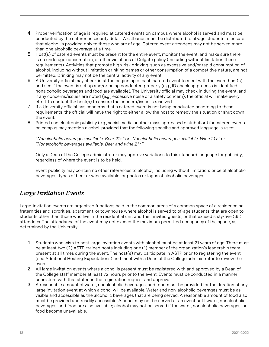- 4. Proper verification of age is required at catered events on campus where alcohol is served and must be conducted by the caterer or security detail. Wristbands must be distributed to of-age students to ensure that alcohol is provided only to those who are of age. Catered event attendees may not be served more than one alcoholic beverage at a time.
- 5. Host(s) of catered events must be present for the entire event, monitor the event, and make sure there is no underage consumption, or other violations of Colgate policy (including without limitation these requirements). Activities that promote high-risk drinking, such as excessive and/or rapid consumption of alcohol, including without limitation drinking games or other consumption of a competitive nature, are not permitted. Drinking may not be the central activity of any event.
- 6. A University official may check in at the beginning of each catered event to meet with the event host(s) and see if the event is set up and/or being conducted properly (e.g., ID checking process is identified, nonalcoholic beverages and food are available). The University official may check in during the event, and if any concerns/issues are noted (e.g., excessive noise or a safety concern), the official will make every effort to contact the host(s) to ensure the concern/issue is resolved.
- 7. If a University official has concerns that a catered event is not being conducted according to these requirements, the official will have the right to either allow the host to remedy the situation or shut down the event.
- 8. Printed and electronic publicity (e.g., social media or other mass app-based distribution) for catered events on campus may mention alcohol, provided that the following specific and approved language is used:

*"Nonalcoholic beverages available. Beer 21+"* or *"Nonalcoholic beverages available. Wine 21+"* or *"Nonalcoholic beverages available. Beer and wine 21+"*

Only a Dean of the College administrator may approve variations to this standard language for publicity, regardless of where the event is to be held.

Event publicity may contain no other references to alcohol, including without limitation: price of alcoholic beverages; types of beer or wine available; or photos or logos of alcoholic beverages.

#### *Large Invitation Events*

Large-invitation events are organized functions held in the common areas of a common space of a residence hall, fraternities and sororities, apartment, or townhouse where alcohol is served to of-age students, that are open to students other than those who live in the residential unit and their invited guests, or that exceed sixty-five (65) attendees. The attendance of the event may not exceed the maximum permitted occupancy of the space, as determined by the University.

- 1. Students who wish to host large invitation events with alcohol must be at least 21 years of age. There must be at least two (2) ASTP-trained hosts including one (1) member of the organization's leadership team present at all times during the event. The host(s) may participate in ASTP prior to registering the event (see Additional Hosting Expectations) and meet with a Dean of the College administrator to review the event.
- 2. All large invitation events where alcohol is present must be registered with and approved by a Dean of the College staff member at least 72 hours prior to the event. Events must be conducted in a manner consistent with that stated in the registration request and approval.
- 3. A reasonable amount of water, nonalcoholic beverages, and food must be provided for the duration of any large invitation event at which alcohol will be available. Water and non-alcoholic beverages must be as visible and accessible as the alcoholic beverages that are being served. A reasonable amount of food also must be provided and readily accessible. Alcohol may not be served at an event until water, nonalcoholic beverages, and food are also available; alcohol may not be served if the water, nonalcoholic beverages, or food become unavailable.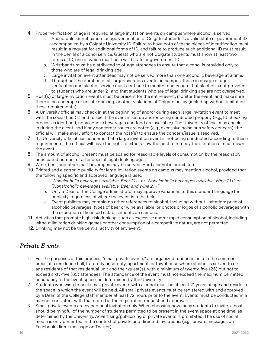- 4. Proper verification of age is required at large invitation events on campus where alcohol is served.
	- a. Acceptable identification for age verification of Colgate students is a valid state or government ID accompanied by a Colgate University ID. Failure to have both of these pieces of identification must result in a request for additional forms of ID, and failure to produce such additional ID must result in the denial of alcohol service. Guests who are not Colgate students must show at least two forms of ID, one of which must be a valid state or government ID.
	- b. Wristbands must be distributed to of-age attendees to ensure that alcohol is provided only to those who are of legal drinking age.
	- c. Large invitation event attendees may not be served more than one alcoholic beverage at a time.
	- d. Throughout the duration of all large-invitation events on campus, those in charge of age verification and alcohol service must continue to monitor and ensure that alcohol is not provided to students who are under 21 and that students who are of legal drinking age are not overserved.
- 5. Host(s) of large-invitation events must be present for the entire event, monitor the event, and make sure there is no underage or unsafe drinking, or other violations of Colgate policy (including without limitation these requirements).
- 6. A University official may check in at the beginning of and/or during each large invitation event to meet with the social host(s) and to see if the event is set up and/or being conducted properly (e.g., ID checking process is identified, nonalcoholic beverages and food are available). The University official may check in during the event, and if any concerns/issues are noted (e.g., excessive noise or a safety concern), the official will make every effort to contact the host(s) to ensure the concern/issue is resolved.
- 7. If a University official has concerns that a large invitation event is not being conducted according to these requirements, the official will have the right to either allow the host to remedy the situation or shut down the event.
- 8. The amount of alcohol present must be scaled for reasonable levels of consumption by the reasonably anticipated number of attendees of legal drinking age.
- 9. Wine, beer, and other malt beverages may be served. Hard alcohol is prohibited.
- 10. Printed and electronic publicity for large-invitation events on campus may mention alcohol, provided that the following specific and approved language is used:
	- a. *"Nonalcoholic beverages available. Beer 21+"* or *"Nonalcoholic beverages available. Wine 21+*" or *"Nonalcoholic beverages available. Beer and wine 21+"*
	- b. Only a Dean of the College administrator may approve variations to this standard language for publicity, regardless of where the event is to be held.
	- c. Event publicity may contain no other references to alcohol, including without limitation: price of alcoholic beverages; types of beer or wine available; or photos or logos of alcoholic beverages with the exception of licensed establishments on campus.
- 11. Activities that promote high-risk drinking, such as excessive and/or rapid consumption of alcohol, including without limitation drinking games or other consumption of a competitive nature, are not permitted.
- 12. Drinking may not be the central activity of any event.

#### *Private Events*

- 1. For the purposes of this process, "small private events" are organized functions held in the common areas of a residence hall, fraternity or sorority, apartment, or townhouse where alcohol is served to ofage residents of that residential unit and their guest(s), with a minimum of twenty-five (25) but not to exceed sixty-five (65) attendees. The attendance of the event must not exceed the maximum permitted occupancy of the event space, as determined by the University.
- 2. Students who wish to host small private events with alcohol must be at least 21 years of age and reside in the space in which the event will be held. All small private events must be registered with and approved by a Dean of the College staff member at least 72 hours prior to the event. Events must be conducted in a manner consistent with that stated in the registration request and approval.
- 3. Small private events are by personal invitation only. When choosing how many students to invite, a host should be mindful of the number of students permitted to be present in the event space at one time, as determined by the University. Advertising/publicizing of private events is prohibited. The use of social media is only permitted in the context of private and directed invitations. (e.g., private messages on Facebook, direct message on Twitter).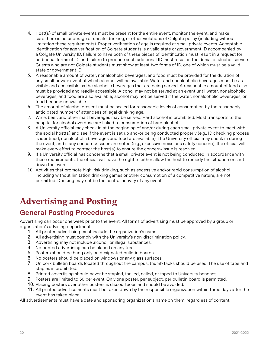- 4. Host(s) of small private events must be present for the entire event, monitor the event, and make sure there is no underage or unsafe drinking, or other violations of Colgate policy (including without limitation these requirements). Proper verification of age is required at small private events. Acceptable identification for age verification of Colgate students is a valid state or government ID accompanied by a Colgate University ID. Failure to have both of these pieces of identification must result in a request for additional forms of ID, and failure to produce such additional ID must result in the denial of alcohol service. Guests who are not Colgate students must show at least two forms of ID, one of which must be a valid state or government ID.
- 5. A reasonable amount of water, nonalcoholic beverages, and food must be provided for the duration of any small private event at which alcohol will be available. Water and nonalcoholic beverages must be as visible and accessible as the alcoholic beverages that are being served. A reasonable amount of food also must be provided and readily accessible. Alcohol may not be served at an event until water, nonalcoholic beverages, and food are also available; alcohol may not be served if the water, nonalcoholic beverages, or food become unavailable.
- 6. The amount of alcohol present must be scaled for reasonable levels of consumption by the reasonably anticipated number of attendees of legal drinking age.
- 7. Wine, beer, and other malt beverages may be served. Hard alcohol is prohibited. Most transports to the hospital for alcohol overdose are linked to consumption of hard alcohol.
- 8. A University official may check in at the beginning of and/or during each small private event to meet with the social host(s) and see if the event is set up and/or being conducted properly (e.g., ID checking process is identified, nonalcoholic beverages and food are available). The University official may check in during the event, and if any concerns/issues are noted (e.g., excessive noise or a safety concern), the official will make every effort to contact the host(s) to ensure the concern/issue is resolved.
- 9. If a University official has concerns that a small private event is not being conducted in accordance with these requirements, the official will have the right to either allow the host to remedy the situation or shut down the event.
- 10. Activities that promote high-risk drinking, such as excessive and/or rapid consumption of alcohol, including without limitation drinking games or other consumption of a competitive nature, are not permitted. Drinking may not be the central activity of any event.

# **Advertising and Posting**

#### **General Posting Procedures**

Advertising can occur one week prior to the event. All forms of advertising must be approved by a group or organization's advising department.

- 1. All printed advertising must include the organization's name.
- 2. All advertising must comply with the University's non-discrimination policy.
- 3. Advertising may not include alcohol, or illegal substances.
- 4. No printed advertising can be placed on any tree.
- 5. Posters should be hung only on designated bulletin boards.
- 6. No posters should be placed on windows or any glass surfaces.
- 7. On cork bulletin boards located throughout the campus, thumb tacks should be used. The use of tape and staples is prohibited.
- 8. Printed advertising should never be stapled, tacked, nailed, or taped to University benches.
- 9. Posters are limited to 50 per event. Only one poster, per subject, per bulletin board is permitted.
- 10. Placing posters over other posters is discourteous and should be avoided.
- 11. All printed advertisements must be taken down by the responsible organization within three days after the event has taken place.

All advertisements must have a date and sponsoring organization's name on them, regardless of content.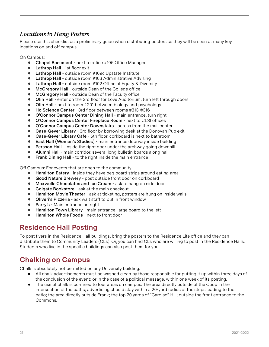#### *Locations to Hang Posters*

Please use this checklist as a preliminary guide when distributing posters so they will be seen at many key locations on and off campus.

On Campus:

- ● **Chapel Basement**  next to office #105 Office Manager
- ● **Lathrop Hall**  1st floor exit
- **Lathrop Hall** outside room #109c Upstate Institute
- **Lathrop Hall** outside room #103 Administrative Advising<br>● Lathrop Hall outside room #102 Office of Equity & Divers
- **Lathrop Hall** outside room #102 Office of Equity & Diversity
- **McGregory Hall** outside Dean of the College office
- **McGregory Hall** outside Dean of the Faculty office
- Olin Hall enter on the 3rd floor for Love Auditorium, turn left through doors
- **Olin Hall** next to room #201 between biology and psychology
- **Ho Science Center** 3rd floor between rooms #313-#316
- **O'Connor Campus Center Dining Hall** main entrance, turn right
- ● **O'Connor Campus Center Fireplace Room**  next to CLSI offices
- ● **O'Connor Campus Center Downstairs**  across from the mail center
- **Case-Geyer Library** 3rd floor by borrowing desk at the Donovan Pub exit<br>● Case-Gever Library Cafe 5th floor, corkboard is next to bathroom
- **Case-Geyer Library Cafe** 5th floor, corkboard is next to bathroom<br>● Fast Hall (Women's Studies) main entrance doorway inside buildi
- **East Hall (Women's Studies)** main entrance doorway inside building
- **Persson Hall** inside the right door under the archway going downhill
- ● **Alumni Hall**  main corridor, several long bulletin boards along hall
- **Frank Dining Hall** to the right inside the main entrance

Off Campus: For events that are open to the community

- **Hamilton Eatery** inside they have peg board strips around eating area
- **Good Nature Brewery** post outside front door on corkboard<br>● Maxwells Chocolates and Ice Cream ask to hang on side do
- **Maxwells Chocolates and Ice Cream ask to hang on side door**
- **Colgate Bookstore** ask at the main checkout
- **Hamilton Movie Theater** ask at ticketing, posters are hung on inside walls<br>● Oliveri's Pizzeria ask wait staff to put in front window
- **Oliveri's Pizzeria** ask wait staff to put in front window
- **Parry's** Main entrance on right<br>● Hamilton Town Library main e
- **Hamilton Town Library** main entrance, large board to the left
- **Hamilton Whole Foods** next to front door

#### **Residence Hall Posting**

To post flyers in the Residence Hall buildings, bring the posters to the Residence Life office and they can distribute them to Community Leaders (CLs). Or, you can find CLs who are willing to post in the Residence Halls. Students who live in the specific buildings can also post them for you.

## **Chalking on Campus**

Chalk is absolutely not permitted on any University building.

- ● All chalk advertisements must be washed clean by those responsible for putting it up within three days of the conclusion of the event; or in the case of a political message, within one week of its posting.
- The use of chalk is confined to four areas on campus: The area directly outside of the Coop in the intersection of the paths; advertising should stay within a 20-yard radius of the steps leading to the patio; the area directly outside Frank; the top 20 yards of "Cardiac" Hill; outside the front entrance to the Commons.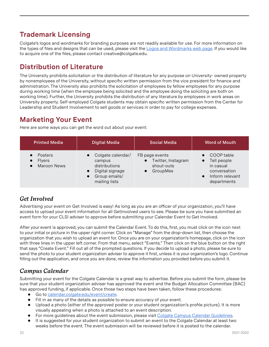# **Trademark Licensing**

Colgate's logos and wordmarks for branding purposes are not readily available for use. For more information on the types of files and designs that can be used, please visit the [Logos and Wordmarks web page.](https://www.colgate.edu/about/campus-services-and-resources/logos-and-wordmarks) If you would like to acquire one of the files, please contact creative@colgate.edu.

## **Distribution of Literature**

The University prohibits solicitation or the distribution of literature for any purpose on University- owned property by nonemployees of the University, without specific written permission from the vice president for finance and administration. The University also prohibits the solicitation of employees by fellow employees for any purpose during working time (when the employee being solicited and the employee doing the soliciting are both on working time). Further, the University prohibits the distribution of any literature by employees in work areas on University property. Self-employed Colgate students may obtain specific written permission from the Center for Leadership and Student Involvement to sell goods or services in order to pay for college expenses.

#### **Marketing Your Event**

Here are some ways you can get the word out about your event:

| <b>Printed Media</b>                           | <b>Digital Media</b>                                                                              | <b>Social Media</b>                                            | <b>Word of Mouth</b>                                                                                  |
|------------------------------------------------|---------------------------------------------------------------------------------------------------|----------------------------------------------------------------|-------------------------------------------------------------------------------------------------------|
| Posters<br><b>Flyers</b><br><b>Maroon News</b> | Colgate calendar/<br>campus<br>distributions<br>Digital signage<br>Group emails/<br>mailing lists | FB page events<br>Twitter, Instagram<br>shout-outs<br>GroupMes | COOP table<br>Tell people<br>$\bullet$<br>in casual<br>conversation<br>Inform relevant<br>departments |

#### *Get Involved*

Advertising your event on Get Involved is easy! As long as you are an officer of your organization, you'll have access to upload your event information for all GetInvolved users to see. Please be sure you have submitted an event form for your CLSI adviser to approve before submitting your Calendar Event to Get Involved.

After your event is approved, you can submit the Calendar Event. To do this, first, you must click on the icon next to your initial or picture in the upper right corner. Click on "Manage" from the drop-down list, then choose the organization that you wish to upload an event for. Once you are on your organization's homepage, click on the icon with three lines in the upper left corner. From that menu, select "Events." Then click on the blue button on the right that says "Create Event." Fill out all of the prompted questions. If you decide to upload a photo, please be sure to send the photo to your student organization adviser to approve it first, unless it is your organization's logo. Continue filling out the application, and once you are done, review the information you provided before you submit it.

#### *Campus Calendar*

Submitting your event for the Colgate Calendar is a great way to advertise. Before you submit the form, please be sure that your student organization adviser has approved the event and the Budget Allocation Committee (BAC) has approved funding, if applicable. Once those two steps have been taken, follow these procedures:

- Go to [calendar.colgate.edu/event/create](https://calendar.colgate.edu/event/create).
- Fill in as many of the details as possible to ensure accuracy of your event.
- Upload a photo (either of the approved poster or your student organization's profile picture). It is more visually appealing when a photo is attached to an event description.
- For more guidelines about the event submission, please visit [Colgate Campus Calendar Guidelines](https://docs.google.com/document/d/1ka9ExrWI_bdnEHUw8KxJals8bSzOX7lsWSvj48rrvu4/edit).
- It is suggested for your student organization to submit an event to the Colgate Calendar at least two weeks before the event. The event submission will be reviewed before it is posted to the calendar.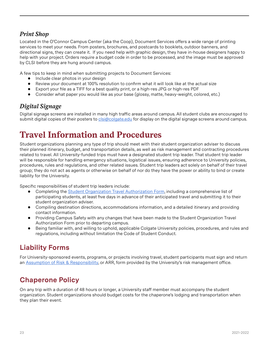#### *Print Shop*

Located in the O'Connor Campus Center (aka the Coop), Document Services offers a wide range of printing services to meet your needs. From posters, brochures, and postcards to booklets, outdoor banners, and directional signs, they can create it. If you need help with graphic design, they have in-house designers happy to help with your project. Orders require a budget code in order to be processed, and the image must be approved by CLSI before they are hung around campus.

A few tips to keep in mind when submitting projects to Document Services:

- Include clear photos in your design
- Review your document at 100% resolution to confirm what it will look like at the actual size
- Export your file as a TIFF for a best quality print, or a high-res JPG or high-res PDF
- Consider what paper you would like as your base (glossy, matte, heavy-weight, colored, etc.)

#### *Digital Signage*

Digital signage screens are installed in many high traffic areas around campus. All student clubs are encouraged to submit digital copies of their posters to [clsi@colgate.edu](mailto:clsi@colgate.edu) for display on the digital signage screens around campus.

# **Travel Information and Procedures**

Student organizations planning any type of trip should meet with their student organization adviser to discuss their planned itinerary, budget, and transportation details, as well as risk management and contracting procedures related to travel. All University-funded trips must have a designated student trip leader. That student trip leader will be responsible for handling emergency situations, logistical issues, ensuring adherence to University policies, procedures, rules and regulations, and other related issues. Student trip leaders act solely on behalf of their travel group; they do not act as agents or otherwise on behalf of nor do they have the power or ability to bind or create liability for the University.

Specific responsibilities of student trip leaders include:

- Completing the [Student Organization Travel Authorization Form,](https://docs.google.com/forms/d/e/1FAIpQLSdc_44mpC8rCmidJUftgYgKDc_0h-wJ9SKVv-Qwm678VkXulQ/viewform) including a comprehensive list of participating students, at least five days in advance of their anticipated travel and submitting it to their student organization adviser.
- Compiling destination directions, accommodations information, and a detailed itinerary and providing contact information.
- Providing Campus Safety with any changes that have been made to the Student Organization Travel Authorization Form prior to departing campus.
- ● Being familiar with, and willing to uphold, applicable Colgate University policies, procedures, and rules and regulations, including without limitation the Code of Student Conduct.

## **Liability Forms**

For University-sponsored events, programs, or projects involving travel, student participants must sign and return an [Assumption of Risk & Responsibility](https://getinvolved.colgate.edu/organization/CLSI/documents/view/1943984), or ARR, form provided by the University's risk management office.

# **Chaperone Policy**

On any trip with a duration of 48 hours or longer, a University staff member must accompany the student organization. Student organizations should budget costs for the chaperone's lodging and transportation when they plan their event.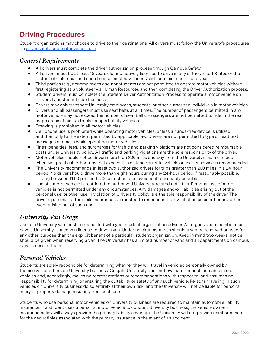# **Driving Procedures**

Student organizations may choose to drive to their destinations. All drivers must follow the University's procedures on [driver safety and motor vehicle use.](https://www.colgate.edu/about/campus-services-and-resources/driver-safety-motor-vehicle-use)

#### *General Requirements*

- ● All drivers must complete the driver authorization process through Campus Safety.
- ● All drivers must be at least 18 years old and actively licensed to drive in any of the United States or the District of Columbia, and such license must have been valid for a minimum of one year.
- ● Third parties (e.g., nonemployees and nonstudents) are not permitted to operate motor vehicles without first registering as a volunteer via Human Resources and then completing the Driver Authorization process.
- Student drivers must complete the Student Driver Authorization Process to operate a motor vehicle on University or student club business.
- ● Drivers may only transport University employees, students, or other authorized individuals in motor vehicles.
- Drivers and all passengers must use seat belts at all times. The number of passengers permitted in any motor vehicle may not exceed the number of seat belts. Passengers are not permitted to ride in the rear cargo areas of pickup trucks or sport utility vehicles.
- Smoking is prohibited in all motor vehicles.
- Cell phone use is prohibited while operating motor vehicles, unless a hands-free device is utilized, and then only to the extent permitted by applicable law. Drivers are not permitted to type or read text messages or emails while operating motor vehicles.
- ● Fines, penalties, fees, and surcharges for traffic and parking violations are not considered reimbursable costs under University policy. All traffic and parking violations are the sole responsibility of the driver.
- Motor vehicles should not be driven more than 300 miles one way from the University's main campus whenever practicable. For trips that exceed this distance, a rental vehicle or charter service is recommended.
- The University recommends at least two authorized drivers for trips greater than 200 miles in a 24-hour period. No driver should drive more than eight hours during any 24-hour period if reasonably possible. Driving between 11:00 p.m. and 5:00 a.m. should be avoided if reasonably possible.
- Use of a motor vehicle is restricted to authorized University-related activities. Personal use of motor vehicles is not permitted under any circumstances. Any damages and/or liabilities arising out of the personal use, or other use in violation of University policy, are the sole responsibility of the driver. The driver's personal automobile insurance is expected to respond in the event of an accident or any other event arising out of such use.

#### *University Van Usage*

Use of a University van must be requested with your student organization adviser. An organization member must have a University-issued van license to drive a van. Under no circumstances should a van be reserved or used for any other purpose than the explicit benefit of a particular student organization. Keep in mind two weeks' notice should be given when reserving a van. The University has a limited number of vans and all departments on campus have access to them.

#### *Personal Vehicles*

Students are solely responsible for determining whether they will travel in vehicles personally owned by themselves or others on University business. Colgate University does not evaluate, inspect, or maintain such vehicles and, accordingly, makes no representations or recommendations with respect to, and assumes no responsibility for determining or ensuring the suitability or safety of any such vehicle. Persons traveling in such vehicles on University business do so entirely at their own risk, and the University will not be liable for personal injury or property damage resulting from such use.

Students who use personal motor vehicles on University business are required to maintain automobile liability insurance. If a student uses a personal motor vehicle to conduct University business, the vehicle owner's insurance policy will always provide the primary liability coverage. The University will not provide reimbursement for the deductibles associated with the primary insurance in the event of an accident.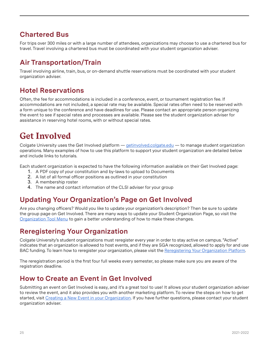#### **Chartered Bus**

For trips over 300 miles or with a large number of attendees, organizations may choose to use a chartered bus for travel. Travel involving a chartered bus must be coordinated with your student organization adviser.

## **Air Transportation/Train**

Travel involving airline, train, bus, or on-demand shuttle reservations must be coordinated with your student organization adviser.

## **Hotel Reservations**

Often, the fee for accommodations is included in a conference, event, or tournament registration fee. If accommodations are not included, a special rate may be available. Special rates often need to be reserved with a form unique to the conference and have deadlines for use. Please contact an appropriate person organizing the event to see if special rates and processes are available. Please see the student organization adviser for assistance in reserving hotel rooms, with or without special rates.

# **Get Involved**

Colgate University uses the Get Involved platform — *getinvolved.colgate.edu* — to manage student organization operations. Many examples of how to use this platform to support your student organization are detailed below and include links to tutorials.

Each student organization is expected to have the following information available on their Get Involved page:

- 1. A PDF copy of your constitution and by-laws to upload to Documents
- 2. A list of all formal officer positions as outlined in your constitution
- 3. A membership roster
- 4. The name and contact information of the CLSI adviser for your group

#### **Updating Your Organization's Page on Get Involved**

Are you changing officers? Would you like to update your organization's description? Then be sure to update the group page on Get Involved. There are many ways to update your Student Organization Page, so visit the [Organization Tool Menu](https://engagesupport.campuslabs.com/hc/en-us/sections/200722534-Organization-Tool-Menu) to gain a better understanding of how to make these changes.

## **Reregistering Your Organization**

Colgate University's student organizations must reregister every year in order to stay active on campus. "Active" indicates that an organization is allowed to host events, and if they are SGA recognized, allowed to apply for and use BAC funding. To learn how to reregister your organization, please visit the [Reregistering Your Organization Platform](https://engagesupport.campuslabs.com/hc/en-us/articles/204942554-Re-registering-your-Organization).

The reregistration period is the first four full weeks every semester, so please make sure you are aware of the registration deadline.

#### **How to Create an Event in Get Involved**

Submitting an event on Get Involved is easy, and it's a great tool to use! It allows your student organization adviser to review the event, and it also provides you with another marketing platform. To review the steps on how to get started, visit [Creating a New Event in your Organization.](https://engagesupport.campuslabs.com/hc/en-us/articles/204033924-Creating-a-New-Event-in-your-Organization) If you have further questions, please contact your student organization adviser.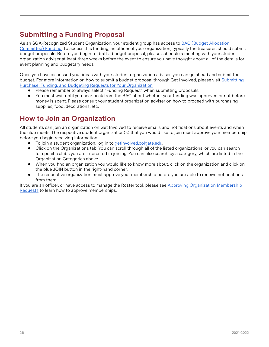# **Submitting a Funding Proposal**

As an SGA-Recognized Student Organization, your student group has access to BAC (Budget Allocation [Committee\) Funding](https://docs.google.com/document/d/1_tVq96Ih46yCzE5wE3xtLbpmOIJbinxCdFqwU_Y6lzE/edit). To access this funding, an officer of your organization, typically the treasurer, should submit budget proposals. Before you begin to draft a budget proposal, please schedule a meeting with your student organization adviser at least three weeks before the event to ensure you have thought about all of the details for event planning and budgetary needs.

Once you have discussed your ideas with your student organization adviser, you can go ahead and submit the budget. For more information on how to submit a budget proposal through Get Involved, please visit [Submitting](https://engagesupport.campuslabs.com/hc/en-us/articles/204033784-Submitting-Purchase-Funding-and-Budgeting-Requests-for-Your-Organization)  [Purchase, Funding, and Budgeting Requests for Your Organization](https://engagesupport.campuslabs.com/hc/en-us/articles/204033784-Submitting-Purchase-Funding-and-Budgeting-Requests-for-Your-Organization).

- Please remember to always select "Funding Request" when submitting proposals.
- You must wait until you hear back from the BAC about whether your funding was approved or not before money is spent. Please consult your student organization adviser on how to proceed with purchasing supplies, food, decorations, etc.

# **How to Join an Organization**

All students can join an organization on Get Involved to receive emails and notifications about events and when the club meets. The respective student organization(s) that you would like to join must approve your membership before you begin receiving information.

- To join a student organization, log in to [getinvolved.colgate.edu.](http://getinvolved.colgate.edu)
- Click on the Organizations tab. You can scroll through all of the listed organizations, or you can search for specific clubs you are interested in joining. You can also search by a category, which are listed in the Organization Categories above.
- ● When you find an organization you would like to know more about, click on the organization and click on the blue JOIN button in the right-hand corner.
- The respective organization must approve your membership before you are able to receive notifications from them.

If you are an officer, or have access to manage the Roster tool, please see [Approving Organization Membership](https://engagesupport.campuslabs.com/hc/en-us/articles/204033714-Approving-Organization-Membership-Requests)  [Requests](https://engagesupport.campuslabs.com/hc/en-us/articles/204033714-Approving-Organization-Membership-Requests) to learn how to approve memberships.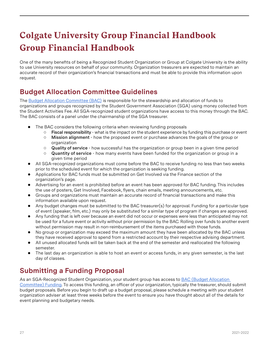# **Group Financial Handbook Colgate University Group Financial Handbook**

One of the many benefits of being a Recognized Student Organization or Group at Colgate University is the ability to use University resources on behalf of your community. Organization treasurers are expected to maintain an accurate record of their organization's financial transactions and must be able to provide this information upon request.

# <span id="page-26-0"></span>**Budget Allocation Committee Guidelines**

The Budget Allocation Committee (BAC) is responsible for the stewardship and allocation of funds to organizations and groups recognized by the Student Government Association (SGA) using money collected from the Student Activities Fee. All SGA-recognized student organizations have access to this money through the BAC. The BAC consists of a panel under the chairmanship of the SGA treasurer.

- The BAC considers the following criteria when reviewing funding proposals
	- ○ **Fiscal responsibility**  what is the impact on the student experience by funding this purchase or event
	- ○ **Mission alignment**  how the proposed event or purchase advances the goals of the group or organization
	- ○ **Quality of service**  how successful has the organization or group been in a given time period
	- ○ **Quantity of service** how many events have been funded for the organization or group in a given time period
- All SGA-recognized organizations must come before the BAC to receive funding no less than two weeks prior to the scheduled event for which the organization is seeking funding.
- Applications for BAC funds must be submitted on Get Involved via the Finance section of the organization's page.
- Advertising for an event is prohibited before an event has been approved for BAC funding. This includes the use of posters, Get Involved, Facebook, flyers, chain emails, meeting announcements, etc.
- Groups and organizations must maintain an accurate record of financial transactions and make this information available upon request.
- ● Any budget changes must be submitted to the BAC treasurer(s) for approval. Funding for a particular type of event (speaker, film, etc.) may only be substituted for a similar type of program if changes are approved.
- Any funding that is left over because an event did not occur or expenses were less than anticipated may not be used for a future event or activity without prior permission by the BAC. Rolling over funds to another event without permission may result in non-reimbursement of the items purchased with those funds.
- No group or organization may exceed the maximum amount they have been allocated by the BAC unless they have received approval to spend from a restricted account by their respective advising department.
- All unused allocated funds will be taken back at the end of the semester and reallocated the following semester.
- The last day an organization is able to host an event or access funds, in any given semester, is the last day of classes.

## <span id="page-26-1"></span>**Submitting a Funding Proposal**

As an SGA-Recognized Student Organization, your student group has access to BAC (Budget Allocation [Committee\) Funding](https://docs.google.com/document/d/1_tVq96Ih46yCzE5wE3xtLbpmOIJbinxCdFqwU_Y6lzE/edit). To access this funding, an officer of your organization, typically the treasurer, should submit budget proposals. Before you begin to draft up a budget proposal, please schedule a meeting with your student organization adviser at least three weeks before the event to ensure you have thought about all of the details for event planning and budgetary needs.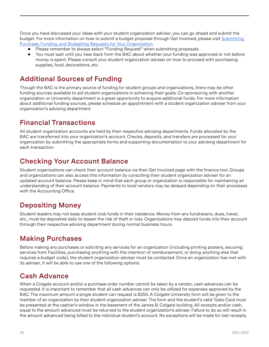Once you have discussed your ideas with your student organization adviser, you can go ahead and submit the budget. For more information on how to submit a budget proposal through Get Involved, please visit Submitting [Purchase, Funding, and Budgeting Requests for Your Organization](https://engagesupport.campuslabs.com/hc/en-us/articles/204033784-Submitting-Purchase-Funding-and-Budgeting-Requests-for-Your-Organization).

- Please remember to always select "Funding Request" when submitting proposals.
- You must wait until you hear back from the BAC about whether your funding was approved or not before money is spent. Please consult your student organization adviser on how to proceed with purchasing supplies, food, decorations, etc.

#### <span id="page-27-0"></span>**Additional Sources of Funding**

Though the BAC is the primary source of funding for student groups and organizations, there may be other funding sources available to aid student organizations in achieving their goals. Co-sponsoring with another organization or University department is a great opportunity to acquire additional funds. For more information about additional funding sources, please schedule an appointment with a student organization adviser from your organization's advising department.

## <span id="page-27-1"></span>**Financial Transactions**

All student organization accounts are held by their respective advising departments. Funds allocated by the BAC are transferred into your organization's account. Checks, deposits, and transfers are processed for your organization by submitting the appropriate forms and supporting documentation to your advising department for each transaction.

# <span id="page-27-2"></span>**Checking Your Account Balance**

Student organizations can check their account balance via their Get Involved page with the finance tool. Groups and organizations can also access this information by consulting their student organization adviser for an updated account balance. Please keep in mind that each group or organization is responsible for maintaining an understanding of their account balance. Payments to local vendors may be delayed depending on their processes with the Accounting Office.

#### <span id="page-27-3"></span>**Depositing Money**

Student leaders may not keep student club funds in their residence. Money from any fundraisers, dues, travel, etc., must be deposited daily to lessen the risk of theft or loss. Organizations may deposit funds into their account through their respective advising department during normal business hours.

## <span id="page-27-4"></span>**Making Purchases**

Before making any purchases or soliciting any services for an organization (including printing posters, securing services from Facilities, purchasing anything with the intention of reimbursement, or doing anything else that requires a budget code), the student organization adviser must be contacted. Once an organization has met with its adviser, it will be able to use one of the following options:

## **Cash Advance**

When a Colgate account and/or a purchase order number cannot be taken by a vendor, cash advances can be requested. It is important to remember that all cash advances can only be utilized for expenses approved by the BAC. The maximum amount a single student can request is \$350. A Colgate University form will be given to the member of an organization by their student organization adviser. The form and the student's valid 'Gate Card must be presented at the cashier's window in the basement of the James B. Colgate building. All receipts and/or cash, equal to the amount advanced must be returned to the student organization's adviser. Failure to do so will result in the amount advanced being billed to the individual student's account. No exceptions will be made for lost receipts.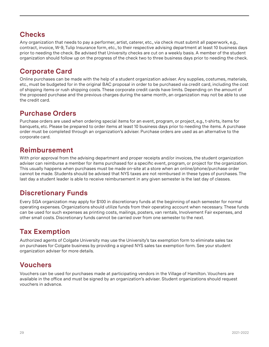## **Checks**

Any organization that needs to pay a performer, artist, caterer, etc., via check must submit all paperwork, e.g., contract, invoice, W-9, Tulip Insurance form, etc., to their respective advising department at least 10 business days prior to needing the check. Be advised that University checks are cut on a weekly basis. A member of the student organization should follow up on the progress of the check two to three business days prior to needing the check.

# **Corporate Card**

Online purchases can be made with the help of a student organization adviser. Any supplies, costumes, materials, etc., must be budgeted for in the original BAC proposal in order to be purchased via credit card, including the cost of shipping items or rush shipping costs. These corporate credit cards have limits. Depending on the amount of the proposed purchase and the previous charges during the same month, an organization may not be able to use the credit card.

## **Purchase Orders**

Purchase orders are used when ordering special items for an event, program, or project, e.g., t-shirts, items for banquets, etc. Please be prepared to order items at least 10 business days prior to needing the items. A purchase order must be completed through an organization's adviser. Purchase orders are used as an alternative to the corporate card.

#### **Reimbursement**

With prior approval from the advising department and proper receipts and/or invoices, the student organization adviser can reimburse a member for items purchased for a specific event, program, or project for the organization. This usually happens when purchases must be made on-site at a store when an online/phone/purchase order cannot be made. Students should be advised that NYS taxes are not reimbursed in these types of purchases. The last day a student leader is able to receive reimbursement in any given semester is the last day of classes.

## <span id="page-28-0"></span>**Discretionary Funds**

Every SGA organization may apply for \$100 in discretionary funds at the beginning of each semester for normal operating expenses. Organizations should utilize funds from their operating account when necessary. These funds can be used for such expenses as printing costs, mailings, posters, van rentals, Involvement Fair expenses, and other small costs. Discretionary funds cannot be carried over from one semester to the next.

# <span id="page-28-1"></span>**Tax Exemption**

Authorized agents of Colgate University may use the University's tax exemption form to eliminate sales tax on purchases for Colgate business by providing a signed NYS sales tax exemption form. See your student organization adviser for more details.

## <span id="page-28-2"></span>**Vouchers**

Vouchers can be used for purchases made at participating vendors in the Village of Hamilton. Vouchers are available in the office and must be signed by an organization's adviser. Student organizations should request vouchers in advance.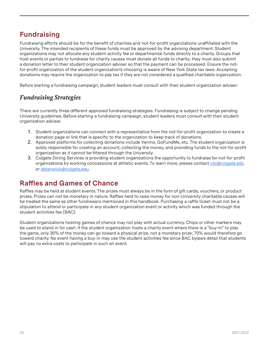## <span id="page-29-0"></span>**Fundraising**

Fundraising efforts should be for the benefit of charities and not-for-profit organizations unaffiliated with the University. The intended recipients of these funds must be approved by the advising department. Student organizations may not allocate any student activity fee or departmental funds directly to a charity. Groups that host events or parties to fundraise for charity causes must donate all funds to charity; they must also submit a donation letter to their student organization adviser so that the payment can be processed. Ensure the notfor-profit organization of the student organization's choosing is aware of New York State tax laws. Accepting donations may require the organization to pay tax if they are not considered a qualified charitable organization.

Before starting a fundraising campaign, student leaders must consult with their student organization adviser.

#### *Fundraising Strategies*

There are currently three different approved fundraising strategies. Fundraising is subject to change pending University guidelines. Before starting a fundraising campaign, student leaders must consult with their student organization adviser.

- 1. Student organizations can connect with a representative from the not-for-profit organization to create a donation page or link that is specific to the organization to keep track of donations.
- 2. Approved platforms for collecting donations include Venmo, GoFundMe, etc. The student organization is solely responsible for creating an account, collecting the money, and providing funds to the not-for-profit organization as it cannot be filtered through the University.
- 3. Colgate Dining Services is providing student organizations the opportunity to fundraise for not-for-profit organizations by working concessions at athletic events. To learn more, please contact [clsi@colgate.edu](mailto:clsi@colgate.edu) or [dstanwick@colgate.edu.](mailto:dstanwick@colgate.edu)

#### <span id="page-29-1"></span>**Raffles and Games of Chance**

Raffles may be held at student events. The prizes must always be in the form of gift cards, vouchers, or product prizes. Prizes can not be monetary in nature. Raffles held to raise money for non-University charitable causes will be treated the same as other fundraisers mentioned in this handbook. Purchasing a raffle ticket must not be a stipulation to attend or participate in any student organization event or activity which was funded through the student activities fee (BAC).

Student organizations hosting games of chance may not play with actual currency. Chips or other markers may be used to stand in for cash. If the student organization hosts a charity event where there is a "buy-in" to play the game, only 30% of the money can go toward a physical prize, not a monetary prize; 70% would therefore go toward charity. No event having a buy-in may use the student activities fee since BAC bylaws detail that students will pay no extra costs to participate in such an event.